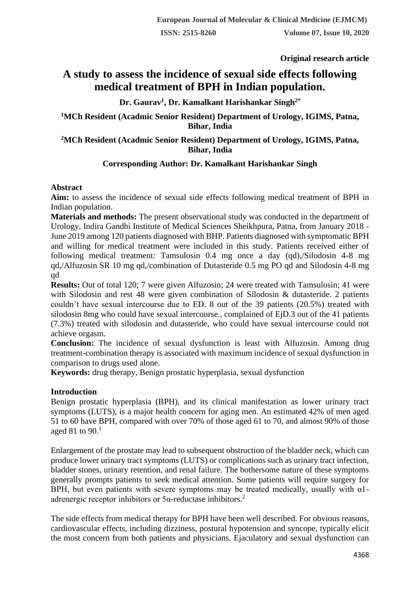**Original research article** 

# **A study to assess the incidence of sexual side effects following medical treatment of BPH in Indian population.**

# **Dr. Gaurav<sup>1</sup> , Dr. Kamalkant Harishankar Singh2\***

## **<sup>1</sup>MCh Resident (Acadmic Senior Resident) Department of Urology, IGIMS, Patna, Bihar, India**

## **<sup>2</sup>MCh Resident (Acadmic Senior Resident) Department of Urology, IGIMS, Patna, Bihar, India**

## **Corresponding Author: Dr. Kamalkant Harishankar Singh**

#### **Abstract**

**Aim:** to assess the incidence of sexual side effects following medical treatment of BPH in Indian population.

**Materials and methods:** The present observational study was conducted in the department of Urology, Indira Gandhi Institute of Medical Sciences Sheikhpura, Patna, from January 2018 - June 2019 among 120 patients diagnosed with BHP. Patients diagnosed with symptomatic BPH and willing for medical treatment were included in this study. Patients received either of following medical treatment: Tamsulosin 0.4 mg once a day (qd),/Silodosin 4-8 mg qd,/Alfuzosin SR 10 mg qd,/combination of Dutasteride 0.5 mg PO qd and Silodosin 4-8 mg qd

**Results:** Out of total 120; 7 were given Alfuzosin; 24 were treated with Tamsulosin; 41 were with Silodosin and rest 48 were given combination of Silodosin & dutasteride. 2 patients couldn't have sexual intercourse due to ED. 8 out of the 39 patients (20.5%) treated with silodosin 8mg who could have sexual intercourse., complained of EjD.3 out of the 41 patients (7.3%) treated with silodosin and dutasteride, who could have sexual intercourse could not achieve orgasm.

**Conclusion:** The incidence of sexual dysfunction is least with Alfuzosin. Among drug treatment-combination therapy is associated with maximum incidence of sexual dysfunction in comparison to drugs used alone.

**Keywords:** drug therapy, Benign prostatic hyperplasia, sexual dysfunction

## **Introduction**

Benign prostatic hyperplasia (BPH), and its clinical manifestation as lower urinary tract symptoms (LUTS), is a major health concern for aging men. An estimated 42% of men aged 51 to 60 have BPH, compared with over 70% of those aged 61 to 70, and almost 90% of those aged 81 to  $90.<sup>1</sup>$ 

Enlargement of the prostate may lead to subsequent obstruction of the bladder neck, which can produce lower urinary tract symptoms (LUTS) or complications such as urinary tract infection, bladder stones, urinary retention, and renal failure. The bothersome nature of these symptoms generally prompts patients to seek medical attention. Some patients will require surgery for BPH, but even patients with severe symptoms may be treated medically, usually with  $\alpha$ 1adrenergic receptor inhibitors or  $5\alpha$ -reductase inhibitors.<sup>2</sup>

The side effects from medical therapy for BPH have been well described. For obvious reasons, cardiovascular effects, including dizziness, postural hypotension and syncope, typically elicit the most concern from both patients and physicians. Ejaculatory and sexual dysfunction can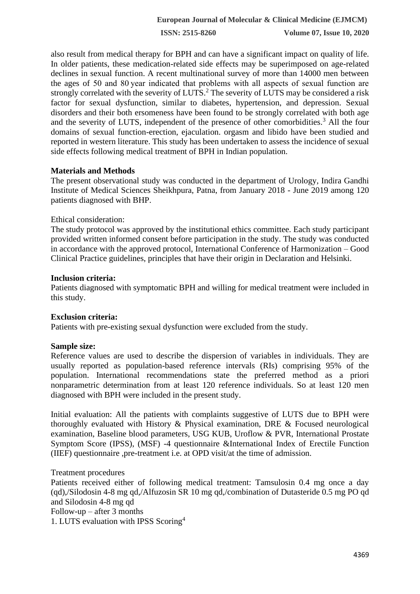**ISSN: 2515-8260 Volume 07, Issue 10, 2020**

also result from medical therapy for BPH and can have a significant impact on quality of life. In older patients, these medication-related side effects may be superimposed on age-related declines in sexual function. A recent multinational survey of more than 14000 men between the ages of 50 and 80 year indicated that problems with all aspects of sexual function are strongly correlated with the severity of LUTS.<sup>2</sup> The severity of LUTS may be considered a risk factor for sexual dysfunction, similar to diabetes, hypertension, and depression. Sexual disorders and their both ersomeness have been found to be strongly correlated with both age and the severity of LUTS, independent of the presence of other comorbidities.<sup>3</sup> All the four domains of sexual function-erection, ejaculation. orgasm and libido have been studied and reported in western literature. This study has been undertaken to assess the incidence of sexual side effects following medical treatment of BPH in Indian population.

#### **Materials and Methods**

The present observational study was conducted in the department of Urology, Indira Gandhi Institute of Medical Sciences Sheikhpura, Patna, from January 2018 - June 2019 among 120 patients diagnosed with BHP.

#### Ethical consideration:

The study protocol was approved by the institutional ethics committee. Each study participant provided written informed consent before participation in the study. The study was conducted in accordance with the approved protocol, International Conference of Harmonization – Good Clinical Practice guidelines, principles that have their origin in Declaration and Helsinki.

#### **Inclusion criteria:**

Patients diagnosed with symptomatic BPH and willing for medical treatment were included in this study.

#### **Exclusion criteria:**

Patients with pre-existing sexual dysfunction were excluded from the study.

#### **Sample size:**

Reference values are used to describe the dispersion of variables in individuals. They are usually reported as population-based reference intervals (RIs) comprising 95% of the population. International recommendations state the preferred method as a priori nonparametric determination from at least 120 reference individuals. So at least 120 men diagnosed with BPH were included in the present study.

Initial evaluation: All the patients with complaints suggestive of LUTS due to BPH were thoroughly evaluated with History & Physical examination, DRE & Focused neurological examination, Baseline blood parameters, USG KUB, Uroflow & PVR, International Prostate Symptom Score (IPSS), (MSF) -4 questionnaire &International Index of Erectile Function (IIEF) questionnaire ,pre-treatment i.e. at OPD visit/at the time of admission.

#### Treatment procedures

Patients received either of following medical treatment: Tamsulosin 0.4 mg once a day (qd),/Silodosin 4-8 mg qd,/Alfuzosin SR 10 mg qd,/combination of Dutasteride 0.5 mg PO qd and Silodosin 4-8 mg qd

Follow-up – after  $3$  months

1. LUTS evaluation with IPSS Scoring<sup>4</sup>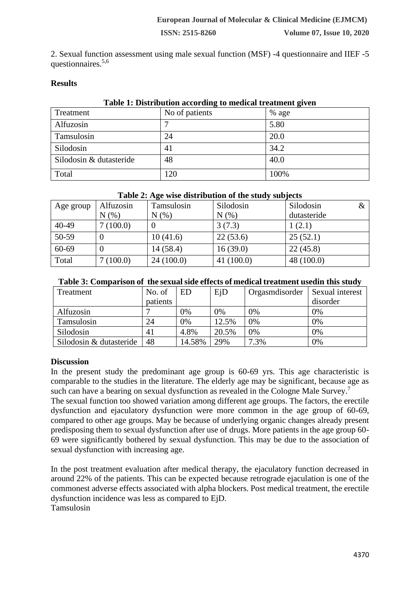2. Sexual function assessment using male sexual function (MSF) -4 questionnaire and IIEF -5 questionnaires.5,6

## **Results**

| Table 1: Distribution according to medical treatment given |                |         |  |  |  |  |
|------------------------------------------------------------|----------------|---------|--|--|--|--|
| Treatment                                                  | No of patients | $%$ age |  |  |  |  |
| Alfuzosin                                                  |                | 5.80    |  |  |  |  |
| Tamsulosin                                                 | 24             | 20.0    |  |  |  |  |
| Silodosin                                                  | 41             | 34.2    |  |  |  |  |
| Silodosin & dutasteride                                    | 48             | 40.0    |  |  |  |  |
| Total                                                      | 120            | 100%    |  |  |  |  |

#### **Table 1: Distribution according to medical treatment given**

## **Table 2: Age wise distribution of the study subjects**

| Age group | Alfuzosin | Tamsulosin | Silodosin | Silodosin<br>$\&$ |
|-----------|-----------|------------|-----------|-------------------|
|           | N(%       | N(%)       | N(% )     | dutasteride       |
| 40-49     | 7(100.0)  |            | 3(7.3)    | 1(2.1)            |
| 50-59     |           | 10(41.6)   | 22(53.6)  | 25(52.1)          |
| 60-69     |           | 14(58.4)   | 16(39.0)  | 22(45.8)          |
| Total     | 7(100.0)  | 24(100.0)  | 41(100.0) | 48 (100.0)        |

#### **Table 3: Comparison of the sexual side effects of medical treatment usedin this study**

| Treatment               | No. of   | <b>ED</b> | $E_iD$ | Orgasmdisorder | Sexual interest |
|-------------------------|----------|-----------|--------|----------------|-----------------|
|                         | patients |           |        |                | disorder        |
| Alfuzosin               |          | 0%        | 0%     | 0%             | 0%              |
| Tamsulosin              | 24       | 0%        | 12.5%  | 0%             | 0%              |
| Silodosin               | 41       | 4.8%      | 20.5%  | 0%             | 0%              |
| Silodosin & dutasteride | 48       | 14.58%    | 29%    | 7.3%           | 0%              |

## **Discussion**

In the present study the predominant age group is 60-69 yrs. This age characteristic is comparable to the studies in the literature. The elderly age may be significant, because age as such can have a bearing on sexual dysfunction as revealed in the Cologne Male Survey.<sup>7</sup>

The sexual function too showed variation among different age groups. The factors, the erectile dysfunction and ejaculatory dysfunction were more common in the age group of 60-69, compared to other age groups. May be because of underlying organic changes already present predisposing them to sexual dysfunction after use of drugs. More patients in the age group 60- 69 were significantly bothered by sexual dysfunction. This may be due to the association of sexual dysfunction with increasing age.

In the post treatment evaluation after medical therapy, the ejaculatory function decreased in around 22% of the patients. This can be expected because retrograde ejaculation is one of the commonest adverse effects associated with alpha blockers. Post medical treatment, the erectile dysfunction incidence was less as compared to EjD. Tamsulosin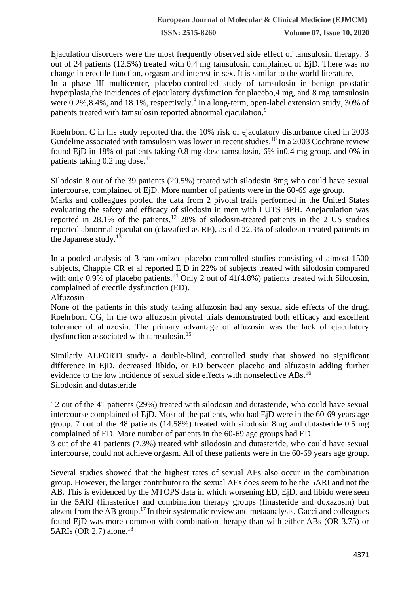**ISSN: 2515-8260 Volume 07, Issue 10, 2020**

Ejaculation disorders were the most frequently observed side effect of tamsulosin therapy. 3 out of 24 patients (12.5%) treated with 0.4 mg tamsulosin complained of EjD. There was no change in erectile function, orgasm and interest in sex. It is similar to the world literature. In a phase III multicenter, placebo-controlled study of tamsulosin in benign prostatic hyperplasia,the incidences of ejaculatory dysfunction for placebo,4 mg, and 8 mg tamsulosin were 0.2%, 8.4%, and 18.1%, respectively.<sup>8</sup> In a long-term, open-label extension study, 30% of patients treated with tamsulosin reported abnormal ejaculation.<sup>9</sup>

Roehrborn C in his study reported that the 10% risk of ejaculatory disturbance cited in 2003 Guideline associated with tamsulosin was lower in recent studies.<sup>10</sup> In a 2003 Cochrane review found EjD in 18% of patients taking 0.8 mg dose tamsulosin, 6% in0.4 mg group, and 0% in patients taking  $0.2$  mg dose.<sup>11</sup>

Silodosin 8 out of the 39 patients (20.5%) treated with silodosin 8mg who could have sexual intercourse, complained of EjD. More number of patients were in the 60-69 age group.

Marks and colleagues pooled the data from 2 pivotal trails performed in the United States evaluating the safety and efficacy of silodosin in men with LUTS BPH. Anejaculation was reported in 28.1% of the patients.<sup>12</sup> 28% of silodosin-treated patients in the 2 US studies reported abnormal ejaculation (classified as RE), as did 22.3% of silodosin-treated patients in the Japanese study.<sup>13</sup>

In a pooled analysis of 3 randomized placebo controlled studies consisting of almost 1500 subjects, Chapple CR et al reported EjD in 22% of subjects treated with silodosin compared with only 0.9% of placebo patients.<sup>14</sup> Only 2 out of  $41(4.8%)$  patients treated with Silodosin, complained of erectile dysfunction (ED).

Alfuzosin

None of the patients in this study taking alfuzosin had any sexual side effects of the drug. Roehrborn CG, in the two alfuzosin pivotal trials demonstrated both efficacy and excellent tolerance of alfuzosin. The primary advantage of alfuzosin was the lack of ejaculatory dysfunction associated with tamsulosin.<sup>15</sup>

Similarly ALFORTI study- a double-blind, controlled study that showed no significant difference in EjD, decreased libido, or ED between placebo and alfuzosin adding further evidence to the low incidence of sexual side effects with nonselective ABs.<sup>16</sup> Silodosin and dutasteride

12 out of the 41 patients (29%) treated with silodosin and dutasteride, who could have sexual intercourse complained of EjD. Most of the patients, who had EjD were in the 60-69 years age group. 7 out of the 48 patients (14.58%) treated with silodosin 8mg and dutasteride 0.5 mg complained of ED. More number of patients in the 60-69 age groups had ED.

3 out of the 41 patients (7.3%) treated with silodosin and dutasteride, who could have sexual intercourse, could not achieve orgasm. All of these patients were in the 60-69 years age group.

Several studies showed that the highest rates of sexual AEs also occur in the combination group. However, the larger contributor to the sexual AEs does seem to be the 5ARI and not the AB. This is evidenced by the MTOPS data in which worsening ED, EjD, and libido were seen in the 5ARI (finasteride) and combination therapy groups (finasteride and doxazosin) but absent from the AB group.<sup>17</sup> In their systematic review and metaanalysis, Gacci and colleagues found EjD was more common with combination therapy than with either ABs (OR 3.75) or 5ARIs (OR 2.7) alone. $18$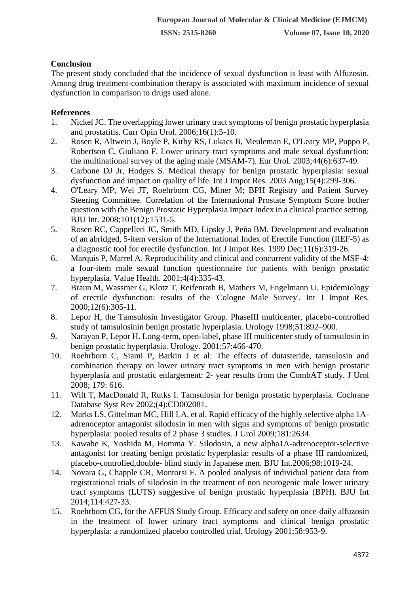# **Conclusion**

The present study concluded that the incidence of sexual dysfunction is least with Alfuzosin. Among drug treatment-combination therapy is associated with maximum incidence of sexual dysfunction in comparison to drugs used alone.

# **References**

- 1. Nickel JC. The overlapping lower urinary tract symptoms of benign prostatic hyperplasia and prostatitis. Curr Opin Urol. 2006;16(1):5-10.
- 2. Rosen R, Altwein J, Boyle P, Kirby RS, Lukacs B, Meuleman E, O'Leary MP, Puppo P, Robertson C, Giuliano F. Lower urinary tract symptoms and male sexual dysfunction: the multinational survey of the aging male (MSAM-7). Eur Urol. 2003;44(6):637-49.
- 3. Carbone DJ Jr, Hodges S. Medical therapy for benign prostatic hyperplasia: sexual dysfunction and impact on quality of life. Int J Impot Res. 2003 Aug;15(4):299-306.
- 4. O'Leary MP, Wei JT, Roehrborn CG, Miner M; BPH Registry and Patient Survey Steering Committee. Correlation of the International Prostate Symptom Score bother question with the Benign Prostatic Hyperplasia Impact Index in a clinical practice setting. BJU Int. 2008;101(12):1531-5.
- 5. Rosen RC, Cappelleri JC, Smith MD, Lipsky J, Peña BM. Development and evaluation of an abridged, 5-item version of the International Index of Erectile Function (IIEF-5) as a diagnostic tool for erectile dysfunction. Int J Impot Res. 1999 Dec;11(6):319-26.
- 6. Marquis P, Marrel A. Reproducibility and clinical and concurrent validity of the MSF-4: a four-item male sexual function questionnaire for patients with benign prostatic hyperplasia. Value Health. 2001;4(4):335-43.
- 7. Braun M, Wassmer G, Klotz T, Reifenrath B, Mathers M, Engelmann U. Epidemiology of erectile dysfunction: results of the 'Cologne Male Survey'. Int J Impot Res. 2000;12(6):305-11.
- 8. Lepor H, the Tamsulosin Investigator Group. PhaseIII multicenter, placebo-controlled study of tamsulosinin benign prostatic hyperplasia. Urology 1998;51:892–900.
- 9. Narayan P, Lepor H. Long-term, open-label, phase III multicenter study of tamsulosin in benign prostatic hyperplasia. Urology. 2001;57:466-470.
- 10. Roehrborn C, Siami P, Barkin J et al: The effects of dutasteride, tamsulosin and combination therapy on lower urinary tract symptoms in men with benign prostatic hyperplasia and prostatic enlargement: 2- year results from the CombAT study. J Urol 2008; 179: 616.
- 11. Wilt T, MacDonald R, Rutks I. Tamsulosin for benign prostatic hyperplasia. Cochrane Database Syst Rev 2002;(4):CD002081.
- 12. Marks LS, Gittelman MC, Hill LA, et al. Rapid efficacy of the highly selective alpha 1Aadrenoceptor antagonist silodosin in men with signs and symptoms of benign prostatic hyperplasia: pooled results of 2 phase 3 studies. J Urol 2009;181:2634.
- 13. Kawabe K, Yoshida M, Homma Y. Silodosin, a new alpha1A-adrenoceptor-selective antagonist for treating benign prostatic hyperplasia: results of a phase III randomized, placebo-controlled,double- blind study in Japanese men. BJU Int.2006;98:1019-24.
- 14. Novara G, Chapple CR, Montorsi F. A pooled analysis of individual patient data from registrational trials of silodosin in the treatment of non neurogenic male lower urinary tract symptoms (LUTS) suggestive of benign prostatic hyperplasia (BPH). BJU Int 2014;114:427-33.
- 15. Roehrborn CG, for the AFFUS Study Group. Efficacy and safety on once-daily alfuzosin in the treatment of lower urinary tract symptoms and clinical benign prostatic hyperplasia: a randomized placebo controlled trial. Urology 2001;58:953-9.